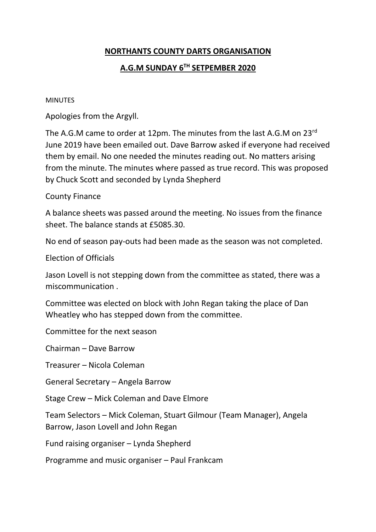### **NORTHANTS COUNTY DARTS ORGANISATION**

# **A.G.M SUNDAY 6TH SETPEMBER 2020**

MINUTES

Apologies from the Argyll.

The A.G.M came to order at 12pm. The minutes from the last A.G.M on 23<sup>rd</sup> June 2019 have been emailed out. Dave Barrow asked if everyone had received them by email. No one needed the minutes reading out. No matters arising from the minute. The minutes where passed as true record. This was proposed by Chuck Scott and seconded by Lynda Shepherd

### County Finance

A balance sheets was passed around the meeting. No issues from the finance sheet. The balance stands at £5085.30.

No end of season pay-outs had been made as the season was not completed.

Election of Officials

Jason Lovell is not stepping down from the committee as stated, there was a miscommunication .

Committee was elected on block with John Regan taking the place of Dan Wheatley who has stepped down from the committee.

Committee for the next season

Chairman – Dave Barrow

Treasurer – Nicola Coleman

General Secretary – Angela Barrow

Stage Crew – Mick Coleman and Dave Elmore

Team Selectors – Mick Coleman, Stuart Gilmour (Team Manager), Angela Barrow, Jason Lovell and John Regan

Fund raising organiser – Lynda Shepherd

Programme and music organiser – Paul Frankcam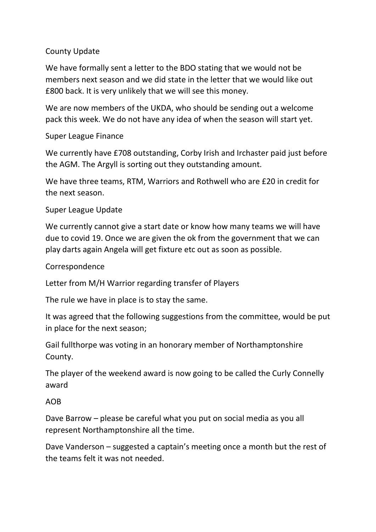## County Update

We have formally sent a letter to the BDO stating that we would not be members next season and we did state in the letter that we would like out £800 back. It is very unlikely that we will see this money.

We are now members of the UKDA, who should be sending out a welcome pack this week. We do not have any idea of when the season will start yet.

### Super League Finance

We currently have £708 outstanding, Corby Irish and Irchaster paid just before the AGM. The Argyll is sorting out they outstanding amount.

We have three teams, RTM, Warriors and Rothwell who are £20 in credit for the next season.

### Super League Update

We currently cannot give a start date or know how many teams we will have due to covid 19. Once we are given the ok from the government that we can play darts again Angela will get fixture etc out as soon as possible.

#### **Correspondence**

Letter from M/H Warrior regarding transfer of Players

The rule we have in place is to stay the same.

It was agreed that the following suggestions from the committee, would be put in place for the next season;

Gail fullthorpe was voting in an honorary member of Northamptonshire County.

The player of the weekend award is now going to be called the Curly Connelly award

#### AOB

Dave Barrow – please be careful what you put on social media as you all represent Northamptonshire all the time.

Dave Vanderson – suggested a captain's meeting once a month but the rest of the teams felt it was not needed.